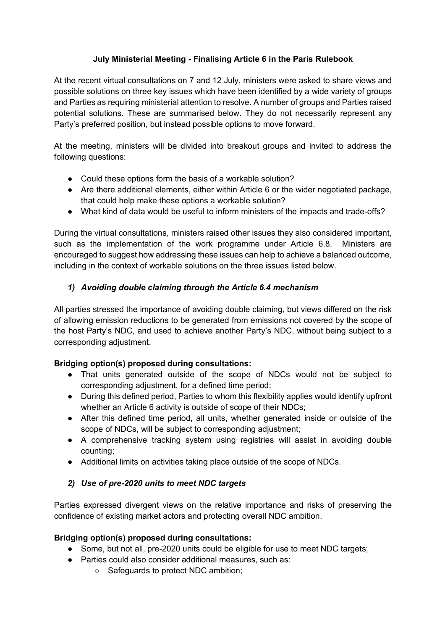# **July Ministerial Meeting - Finalising Article 6 in the Paris Rulebook**

At the recent virtual consultations on 7 and 12 July, ministers were asked to share views and possible solutions on three key issues which have been identified by a wide variety of groups and Parties as requiring ministerial attention to resolve. A number of groups and Parties raised potential solutions. These are summarised below. They do not necessarily represent any Party's preferred position, but instead possible options to move forward.

At the meeting, ministers will be divided into breakout groups and invited to address the following questions:

- Could these options form the basis of a workable solution?
- Are there additional elements, either within Article 6 or the wider negotiated package, that could help make these options a workable solution?
- What kind of data would be useful to inform ministers of the impacts and trade-offs?

During the virtual consultations, ministers raised other issues they also considered important, such as the implementation of the work programme under Article 6.8. Ministers are encouraged to suggest how addressing these issues can help to achieve a balanced outcome, including in the context of workable solutions on the three issues listed below.

# *1) Avoiding double claiming through the Article 6.4 mechanism*

All parties stressed the importance of avoiding double claiming, but views differed on the risk of allowing emission reductions to be generated from emissions not covered by the scope of the host Party's NDC, and used to achieve another Party's NDC, without being subject to a corresponding adjustment.

## **Bridging option(s) proposed during consultations:**

- That units generated outside of the scope of NDCs would not be subject to corresponding adjustment, for a defined time period;
- During this defined period, Parties to whom this flexibility applies would identify upfront whether an Article 6 activity is outside of scope of their NDCs;
- After this defined time period, all units, whether generated inside or outside of the scope of NDCs, will be subject to corresponding adjustment;
- A comprehensive tracking system using registries will assist in avoiding double counting;
- Additional limits on activities taking place outside of the scope of NDCs.

# *2) Use of pre-2020 units to meet NDC targets*

Parties expressed divergent views on the relative importance and risks of preserving the confidence of existing market actors and protecting overall NDC ambition.

## **Bridging option(s) proposed during consultations:**

- Some, but not all, pre-2020 units could be eligible for use to meet NDC targets;
- Parties could also consider additional measures, such as:
	- Safeguards to protect NDC ambition;